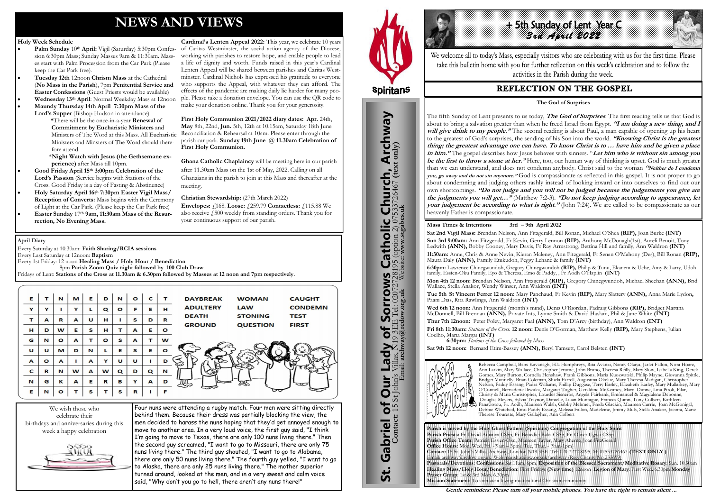# **NEWS AND VIEWS**

#### **Holy Week Schedule**

- sion 6:30pm Mass; Sunday Masses 9am & 11:30am. Masses start with Palm Procession from the Car Park (Please keep the Car Park free).
- **Tuesday 12th** 12noon **Chrism Mass** at the Cathedral (**No Mass in the Parish**), 7pm **Penitential Service and Easter Confessions** (Guest Priests would be available)
- **Wednesday 13th April**: Normal Weekday Mass at 12noon
- **Maundy Thursday 14th April 7:30pm Mass of the Lord's Supper** (Bishop Hudson in attendance)

 **\***There will be the once-in-a-year **Renewal of Commitment by Eucharistic Ministers** and Ministers of The Word at this Mass. All Eucharistic Ministers and Minsters of The Word should therefore attend.

\***Night Watch with Jesus (the Gethsemane experience)** after Mass till 10pm.

**Palm Sunday** 10<sup>th</sup> April: Vigil (Saturday) 5:30pm Confes- of Caritas Westminster, the social action agency of the Diocese, **Cardinal's Lenten Appeal 2022:** This year, we celebrate 10 years working with parishes to restore hope, and enable people to lead a life of dignity and worth. Funds raised in this year's Cardinal Lenten Appeal will be shared between parishes and Caritas Westminster. Cardinal Nichols has expressed his gratitude to everyone who supports the Appeal, with whatever they can afford. The effects of the pandemic are making daily lie harder for many people. Please take a donation envelope. You can use the QR code to make your donation online. Thank you for your generosity.

- **Good Friday April 15th 3:00pm Celebration of the Lord's Passion** (Service begins with Stations of the Cross. Good Friday is a day of Fasting & Abstinence)
- **Holy Saturday April 16t<sup>h</sup> 7:30pm Easter Vigil Mass/ Reception of Converts:** Mass begins with the Ceremony of Light at the Car Park. (Please keep the Car Park free)
- **Easter Sunday** 17**th 9am, 11:30am Mass of the Resurrection, No Evening Mass.**

**First Holy Communion 2021/2022 diary dates: Apr.** 24th, **May** 8th, 22nd, **Jun.** 5th, 12th at 10.15am, Saturday 18th June Reconciliation & Rehearsal at 10am. Please enter through the parish car park. **Sunday 19th June** @ **11.30am Celebration of First Holy Communion.**

**Ghana Catholic Chaplaincy** will be meeting here in our parish after 11.30am Mass on the 1st of May, 2022. Calling on all Ghanaians in the parish to join at this Mass and thereafter at the meeting.

**Christian Stewardship:** (27th March 2022)

**Envelopes:** £168. **Loose:** £259.79 **Contactless:** £115.88 We also receive £500 weekly from standing orders. Thank you for your continuous support of our parish.

We wish those who celebrate their birthdays and anniversaries during this week a happy celebration



Four nuns were attending a rugby match. Four men were sitting directly behind them. Because their dress was partially blocking the view, the men decided to harass the nuns hoping that they'd get annoyed enough to move to another area. In a very loud voice, the first guy said, "I think I'm going to move to Texas, there are only 100 nuns living there." Then the second guy screamed, "I want to go to Missouri, there are only 75 nuns living there." The third guy shouted, "I want to go to Alabama, there are only 50 nuns living there." The fourth guy yelled, "I want to go to Alaska, there are only 25 nuns living there." The mother superior turned around, looked at the men, and in a very sweet and calm voice said, "Why don't you go to hell, there aren't any nuns there!"



St. Gabriel of Our Lady of Sorrows Catholic Church, Archway

r Lady of Sorrows

Gabriel of Our Lady

<u>უ:</u>

**IS Catholic Church, Archway**<br>28195 (option 2) 07533726467 (text only)

#### **April Diary**

Every Saturday at 10.30am: **Faith Sharing/RCIA sessions** 

Every Last Saturday at 12noon: **Baptism** 

Every 1st Friday: 12 noon **Healing Mass / Holy Hour / Benediction** 8pm **Parish Zoom Quiz night followed by 100 Club Draw**

Fridays of Lent: **Stations of the Cross at 11.30am & 6.30pm followed by Masses at 12 noon and 7pm respectively**.

| Е | т       | N       | M | Е | D       | N       | $\circ$ | C | т         | <b>DAYBREAK</b><br><b>WOMAN</b><br><b>CAUGHT</b> |
|---|---------|---------|---|---|---------|---------|---------|---|-----------|--------------------------------------------------|
| Y | Y       |         | Y |   | Q       | $\circ$ | F       | Е | н         | <b>ADULTERY</b><br><b>CONDEMN</b><br>LAW         |
| т | A       | R       | A | U | н       |         | S       | D | R         | <b>DEATH</b><br><b>STONING</b><br><b>TEST</b>    |
| н | D       | w       | Е | s | н       |         | A       | Е | $\bullet$ | <b>QUESTION</b><br><b>GROUND</b><br><b>FIRST</b> |
| G | N       | $\circ$ | A | т | $\circ$ | s       | A       | т | w         |                                                  |
| U | U       | м       | D | N | L       | Е       | s       | Е | o         |                                                  |
| A | $\circ$ | A       |   | A | Y       | U       | U       |   | D         |                                                  |
| C | R       | N       | w | A | w       | Q       | D       | Q | N         |                                                  |
| N | G       | к       | A | Е | R       | в       | v       | A | D         | $\sum$                                           |
| Е | N       | $\circ$ |   | s |         | s       | R       |   | F         |                                                  |



We welcome all to today's Mass, especially visitors who are celebrating with us for the first time. Please take this bulletin home with you for further reflection on this week's celebration and to follow the activities in the Parish during the week.

**Parish is served by the Holy Ghost Fathers (Spiritans) Congregation of the Holy Spirit Parish Priests:** Fr. David Atuanya CSSp, Fr. Benedict Baka CSSp, Fr. Oliver Ugwu CSSp **Parish Office Team:** Patricia Essien-Oku, Maureen Tayler, Mary Aherne, Joan FitzGerald **Office Hours:** Mon, Wed, Fri. -(9am – 3pm). Tue, Thur. - (9am-1pm) **Contact:** 15 St. John's Villas, Archway, London N19 3EE. Tel: 020 7272 8195, M: 07533726467-**(TEXT ONLY )** Email: archway@rcdow.org.uk Web: parish.rcdow.org.uk/archway (Reg. Charity No.233699) **Pastorals/Devotions: Confessions** Sat.11am, 6pm, **Exposition of the Blessed Sacrament/Meditative Rosary**: Sun. 10.30am **Healing Mass/Holy Hour/Benediction:** First Fridays **(New time)** 12noon **Legion of Mary**: First Wed. 6.30pm **Monday Prayer Group**: 1st & 3rd Mon. 6.30pm **Mission Statement:** To animate a loving multicultural Christian community

**Contact:** 15 St John's Villas, N19 3EE Tel: 02072728195 (option 2) 07533726467 **(text only)** Email: **archway@rcdow.org.uk** Website**: www.stgabes.uk**

**Mass Times & Intentions 3rd – 9th April 2022 Sat 2nd Vigil Mass:** Brendan Nelson, Ann Fitzgerald, Bill Ronan, Michael O'Shea **(RIP),** Joan Burke **(INT) Sun 3rd 9:00am:** Ann Fitzgerald, Fr Kevin, Gerry Lennon **(RIP),** Anthony McDonagh(1st), Aureli Benoit, Tony Ledwith **(ANN),** Bobby Cooney, Mary Davis, Fr Ray Armstrong, Bettina Hill and family, Ann Waldron **(INT) 11:30am:** Anne, Chris & Anne Nevin, Kieran Maleney, Ann Fitzgerald, Fr Senan O'Mahony (Des), Bill Ronan **(RIP),**  Maura Daly **(ANN),** Family Etukudoh, Peggy Lehane & family **(INT) 6:30pm:** Lawrence Chinegwundoh, Gregory Chinegwundoh **(RIP),** Philip & Tunu, Ekanem & Uche, Amy & Larry, Udoh family, Essien-Oku Family, Eyo & Theresa, Emo & Paddy, , Fr Aodh O'Haplin **(INT) Mon 4th 12 noon:** Brendan Nelson, Ann Fitzgerald **(RIP),** Gregory Chinegwundoh, Michael Sheehan **(ANN),** Brid

Wallace, Stella Anakor, Wendy Winser, Ann Waldron **(INT) Tue 5th St Vincent Ferrer 12 noon:** Mary Panchaud, Fr Kevin **(RIP),** Mary Slattery **(ANN),** Anna Marie Lydon**,**  Paani Dias, Rita Rawlings, Ann Waldron **(INT)**

**Wed 6th 12 noon:** Ann Fitzgerald (month's mind), Denis O'Riordan, Padraig Gibbons **(RIP),** Bridget Martina McDonnell, Bill Brennan **(ANN),** Private Ints, Lynne Smith & David Haslam, Phil & Jane White **(INT)** 

**Thur 7th 12noon:** Peter Foley, Margaret Faal **(ANN),** Tom D'Arcy (birthday), Ann Waldron **(INT) Fri 8th 11:30am:** *Stations of the Cross.* **12 noon:** Denis O'Gorman, Matthew Kelly **(RIP),** Mary Stephens, Julian Coelho, Maria Margai **(INT)**

 **6:30pm:** *Stations of the Cross followed by Mass* **Sat 9th 12 noon:** Bernard Etim-Bassey **(ANN),** Beryl Tamsett, Carol Belsten **(INT)**



Rebecca Campbell, Babs Kavanagh, Ella Humphreys, Rita Avanzi, Nancy Olaiya, Jarlet Fallon, Nora Hoare, Ann Larkin, Mary Wallace, Christopher Jerome, John Bruno, Theresa Reilly, Mary Slow, Isabella King, Derek Gomes, Mary Burton, Cornelia Henshaw, Frank Gibbons, Maria Kuozwatski, Philip Mayne, Giovanna Spittle, Bridget Munnelly, Brian Coleman, Shiela Farrell, Augustina Okelue, Mary Theresa Madigan, Christopher Nelson, Paddy Essang, Padra Williams, Phillip Duggase, Terry Earley, Elizabeth Earley, Mary Mullarkey, Mary O'Connell, Bernadette Ikwuka, Margaret Togher, Geraldine McKeaney, Mary Dunne, Lina Piroli, Pilar, Christy & Maria Christopher, Lourdes Sisneros, Angela Fairbank, Emmanuel & Magdalene Debonne, Douglas Meyers, Sylvia Traynor, Danielle, Lilian Montague, Frances Quinn, Tony Colbert, Kathleen Panayiotou, Fr. Aodh, Maureen Walsh, Gabby Mehmet, Freda Glackin, Maureen Currie, Joan McGonigal, Debbie Whitehed, Emo Paddy Essang, Melissa Fallon, Madeleine, Jimmy Mills, Stella Anakor, Jacinta, Marie Therese Tourette, Mary Gallagher, Ann Colbert

**Gentle reminders: Please turn off your mobile phones. You have the right to remain silent ...** 

# **REFLECTION ON THE GOSPEL**

#### **The God of Surprises**

The fifth Sunday of Lent presents to us today, **The God of Surprises**. The first reading tells us that God is about to bring a salvation greater than when he freed Israel from Egypt. **"I am doing a new thing, and I will give drink to my people.**" The second reading is about Paul, a man capable of opening up his heart to the greatest of God's surprises, the sending of his Son into the world. **"Knowing Christ is the greatest thing; the greatest advantage one can have. To know Christ is to … have him and be given a place**  in him." The gospel describes how Jesus behaves with sinners. "Let him who is without sin among you **be the first to throw a stone at her.**" Here, too, our human way of thinking is upset. God is much greater than we can understand, and does not condemn anybody. Christ said to the woman **"Neither do I condemn you, go away and do not sin anymore."** God is compassionate as reflected in this gospel. It is not proper to go about condemning and judging others rashly instead of looking inward or into ourselves to find out our own shortcomings. **"Do not judge and you will not be judged because the judgements you give are the judgments you will get…"** (Matthew 7:2-3). **"Do not keep judging according to appearance, let your judgement be according to what is right."** (John 7:24). We are called to be compassionate as our heavenly Father is compassionate.